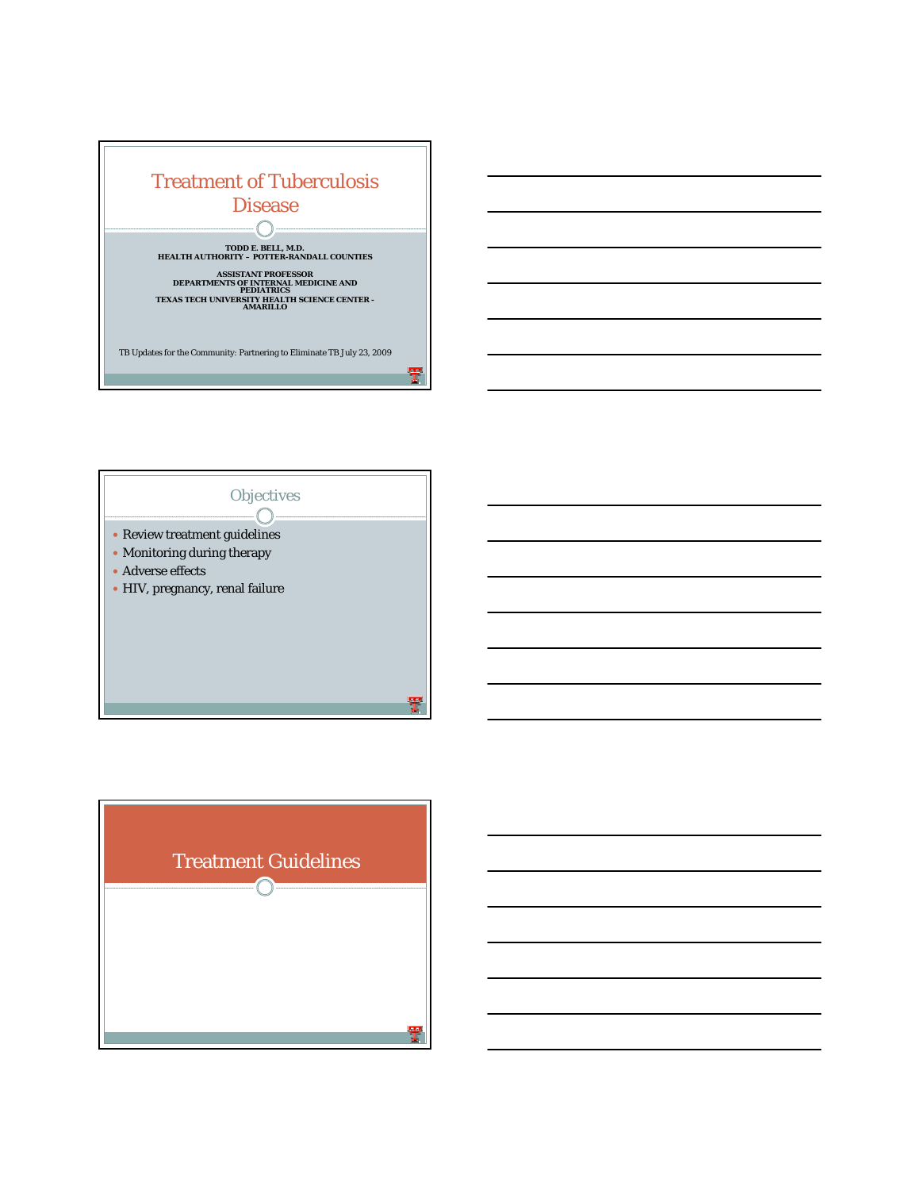



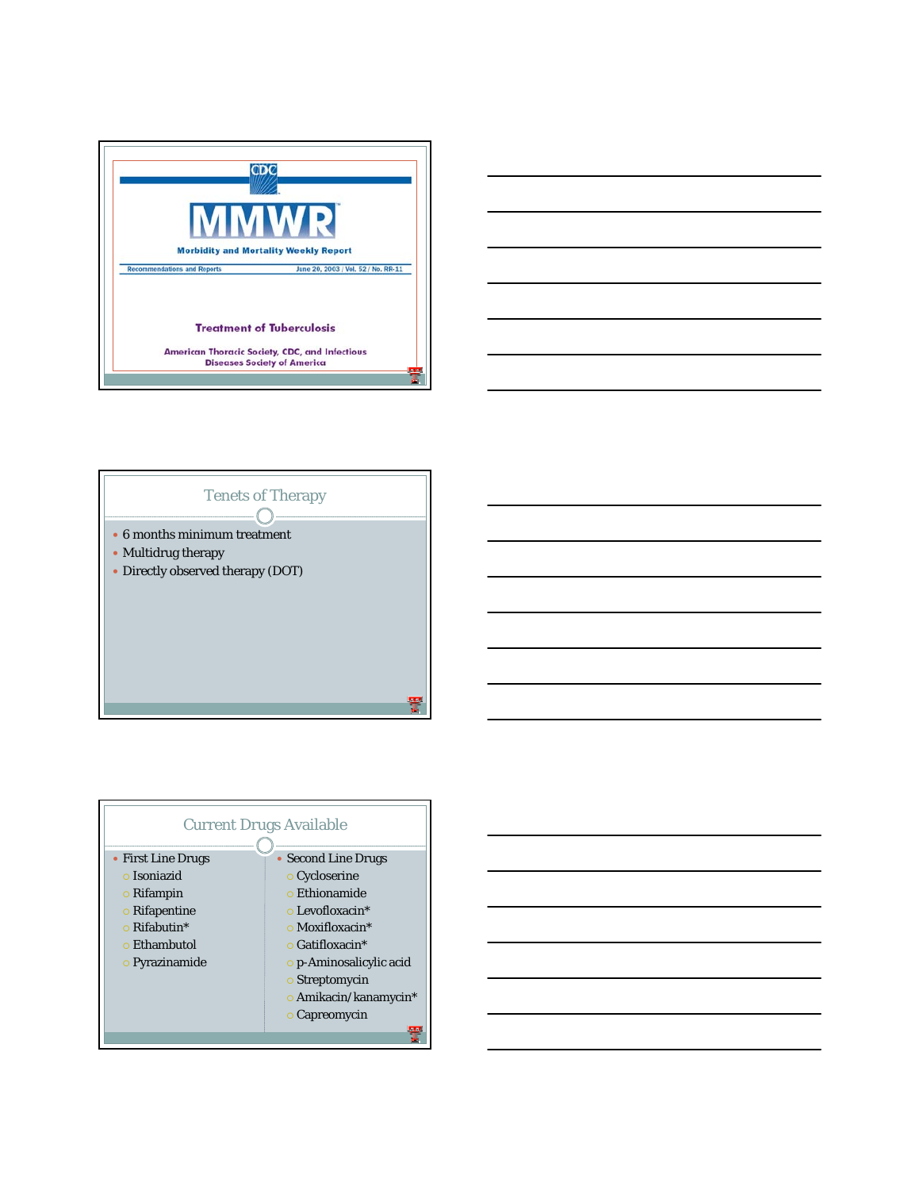







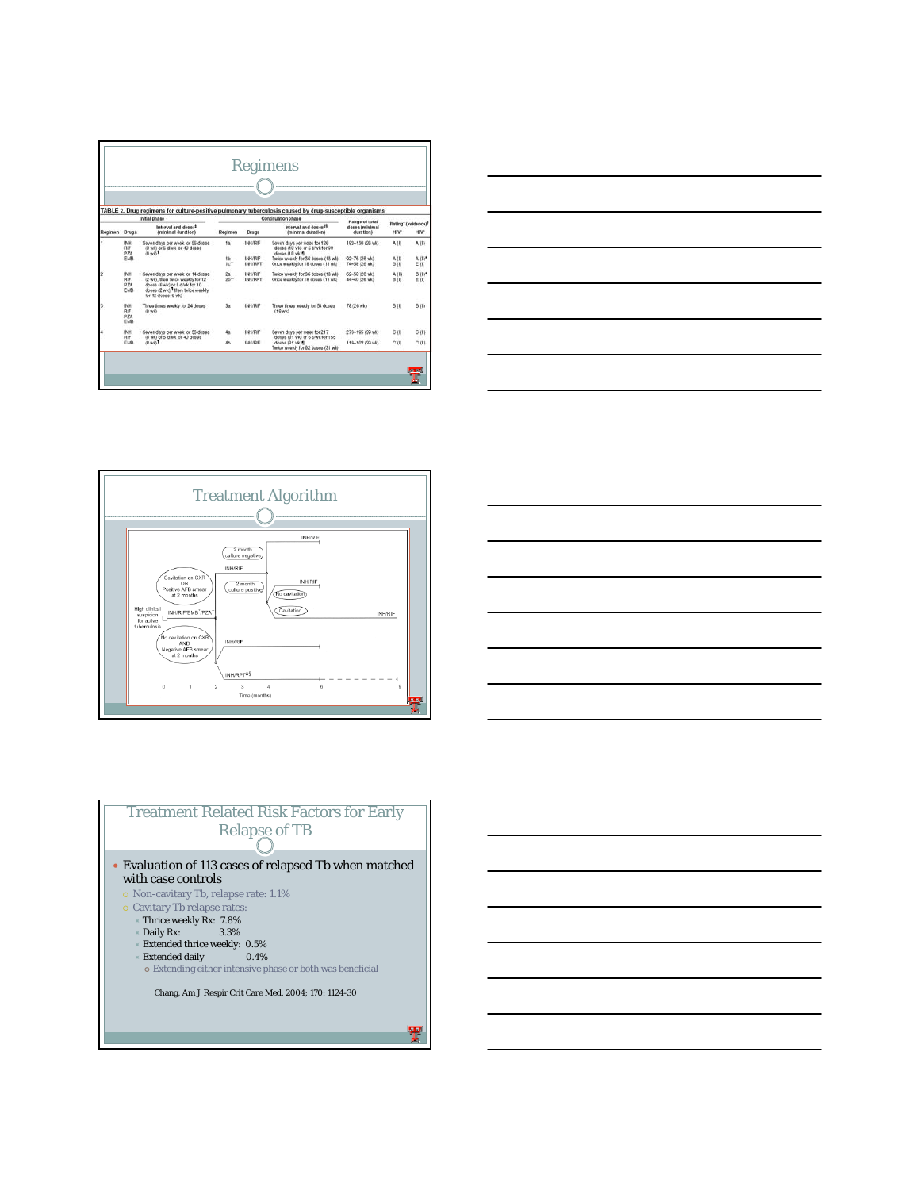|         |                                                                       | Initial phase                                                                                                                                                      |                  |                                  | TABLE 2. Drug regimens for culture-positive pulmonary tuberculosis caused by drug-susceptible organisms<br>Continuation phase |                                                |                                                    |                    |  |  |
|---------|-----------------------------------------------------------------------|--------------------------------------------------------------------------------------------------------------------------------------------------------------------|------------------|----------------------------------|-------------------------------------------------------------------------------------------------------------------------------|------------------------------------------------|----------------------------------------------------|--------------------|--|--|
| Regimen | <b>Drugs</b>                                                          | Interval and doses <sup>\$</sup><br>(minimal duration)                                                                                                             | Resimen<br>Drags |                                  | Interval and doses <sup>25</sup><br>(minimal duration)                                                                        | Range of total<br>desas (minimal)<br>durationi | Rating*Texidence1<br>HW <sup>+</sup><br><b>HIV</b> |                    |  |  |
|         | INH<br>RIF<br>(8 wk) or 5 d/wk for 40 doess<br>$10-657$<br>PZA<br>FMR | Seven days per week for 56 doess.                                                                                                                                  | ta:              | INNERE                           | Seven days per week for 126<br>doses (19 wid or 5 d/wk for 90<br>dosan (18 wk)                                                | 182-130 (26 wk)                                | A(I)                                               | $A$ (10)           |  |  |
|         |                                                                       |                                                                                                                                                                    | th.<br>terr      | INFORME<br>BREEFT                | Twice weekly for 36 doses (18 wk)<br>Once weekly for 18 doses (18 wk)                                                         | 02-76 (26 wk)<br>74-58 (26 wk)                 | $A$ (1)<br>Bill                                    | $A$ (II/*<br>Eili  |  |  |
|         | IRAH<br><b>SUE</b><br>DZA<br>FMR                                      | Seven days per week for 14 dopes<br>(2 wk). then twice weekly for 12.<br>doesn'll with or 5 d'els for 10<br>doesn (2 wk). Then twice weekly<br>for 12 doses (6 wk) | 2n<br>$2b^m$     | <b>INHVRIP</b><br><b>INH/RPT</b> | Twice weekly for 36 dobes (18 wk)<br>Once weekly for 18 doses (18 wk)                                                         | 62-58 (26 wk).<br>44-40 (26 wk)                | A (II)<br>B(l)                                     | <b>B 06*</b><br>新街 |  |  |
|         | (NH<br><b>DIF</b><br>BZA<br>EMB                                       | Three times weekly for 24 doses<br>(Bwk)                                                                                                                           | 3a               | <b>INH/RIF</b>                   | Three times weekly for 54 doses<br>$(18 \text{ w})$                                                                           | 78 (26 with                                    | Bill                                               | <b>B</b> (10)      |  |  |
|         | INH<br>目評                                                             | Savan days par weak for 56 dopes<br>(B wk) or 5 d/wk for 40 dosas                                                                                                  | 48               | <b>INH/RIF</b>                   | Saven days per week for 217<br>doses (31 wk) or 5 d/wk for 155                                                                | 273-105 (99 MK)                                | CIII                                               | C(0)               |  |  |
|         | EMD                                                                   | Fcew 85                                                                                                                                                            | 如                | BRIGHT                           | doess (31 wk) 1<br>Twice weekly for 62 doess (31 wk)                                                                          | 118-102 (29 wk)                                | C (l)                                              | c m                |  |  |







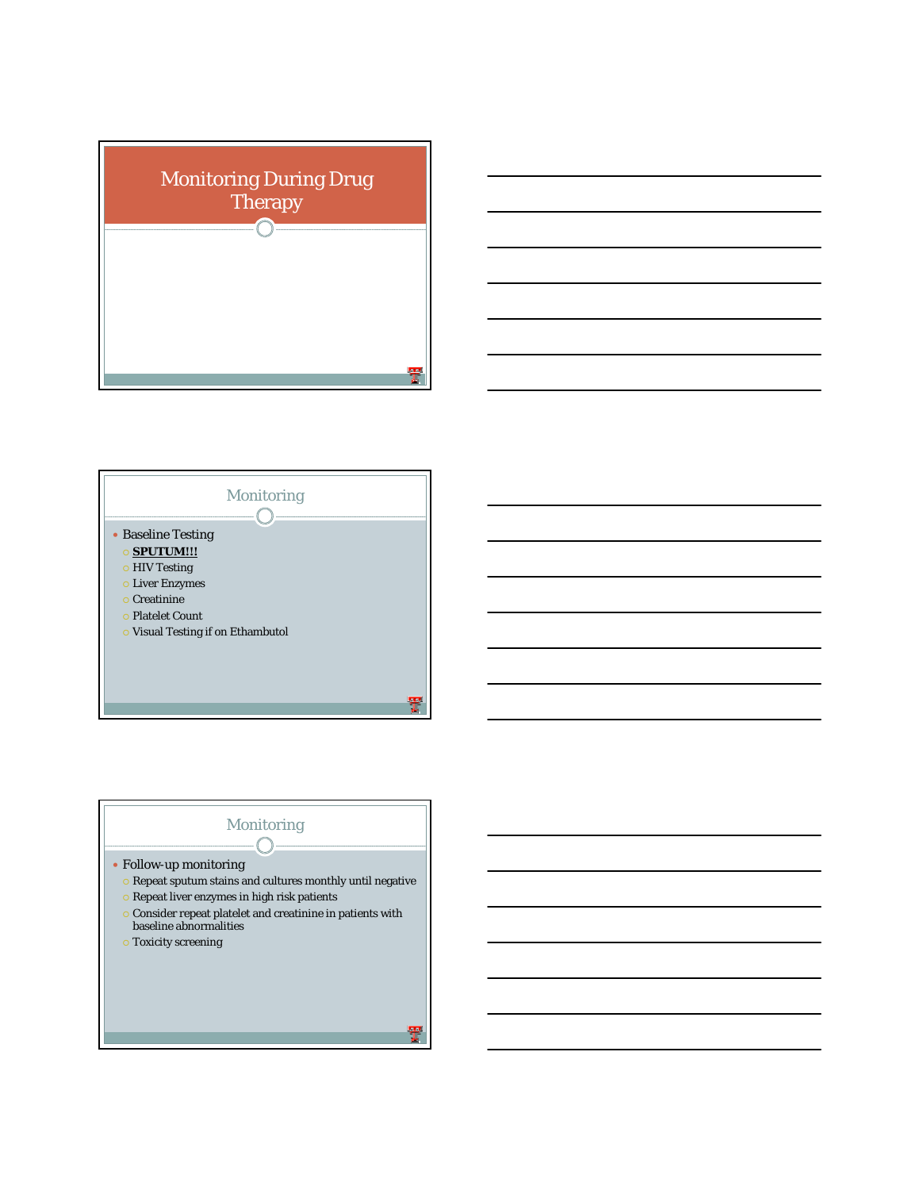





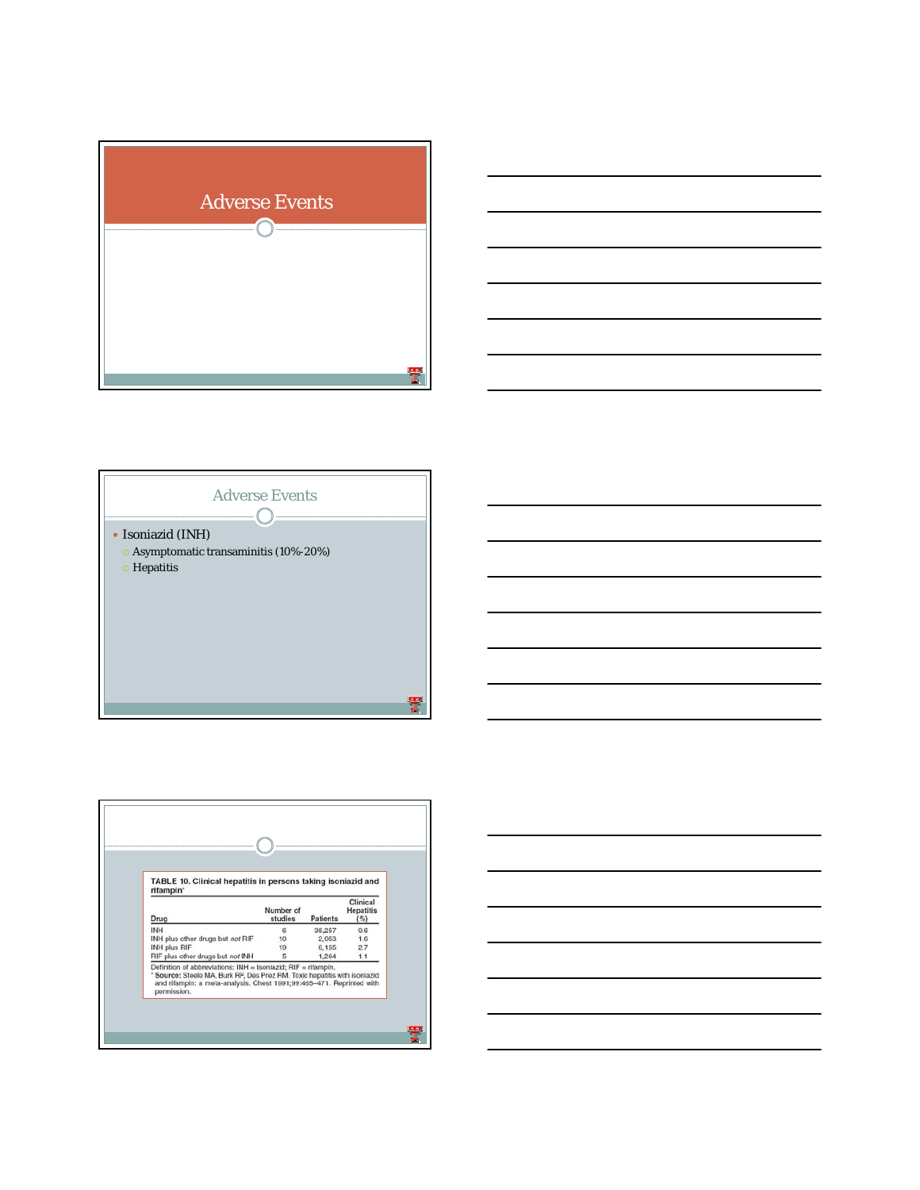







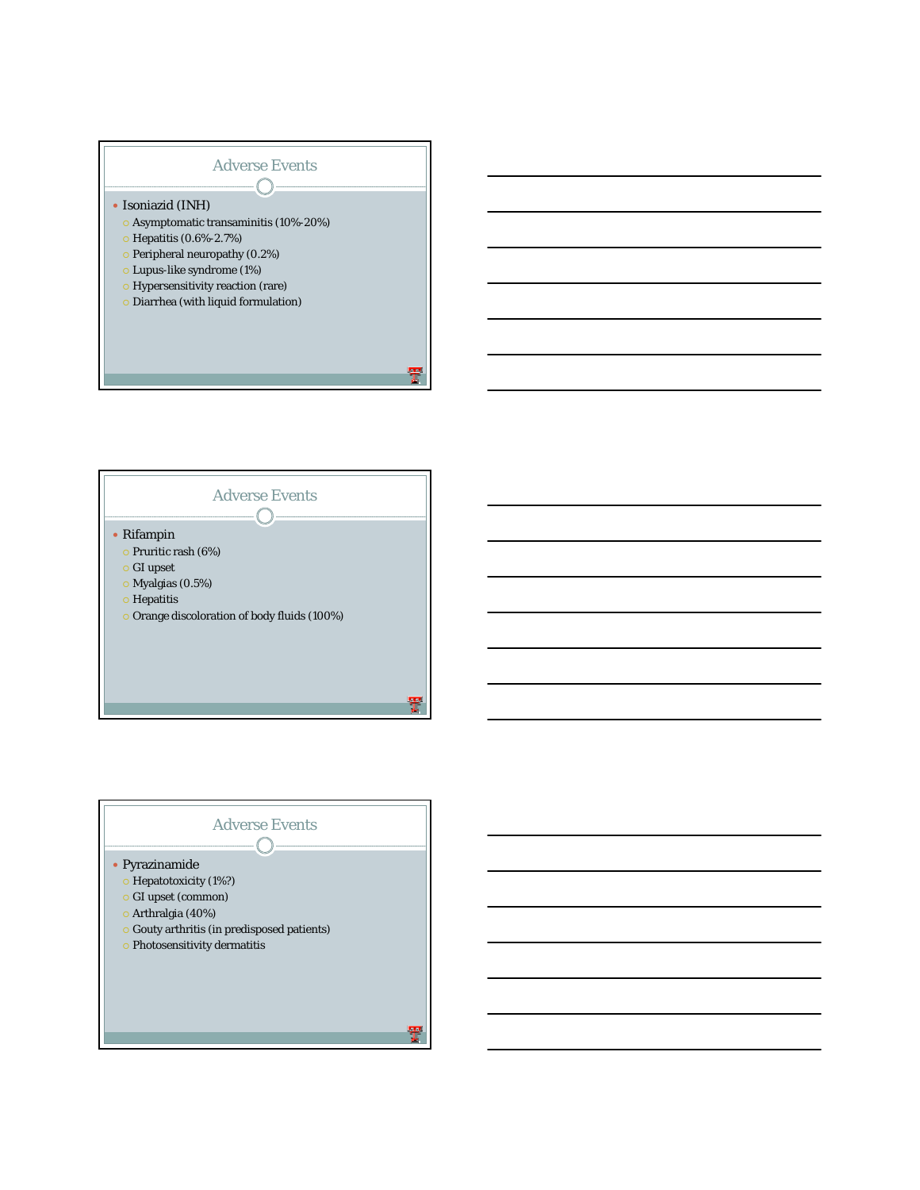



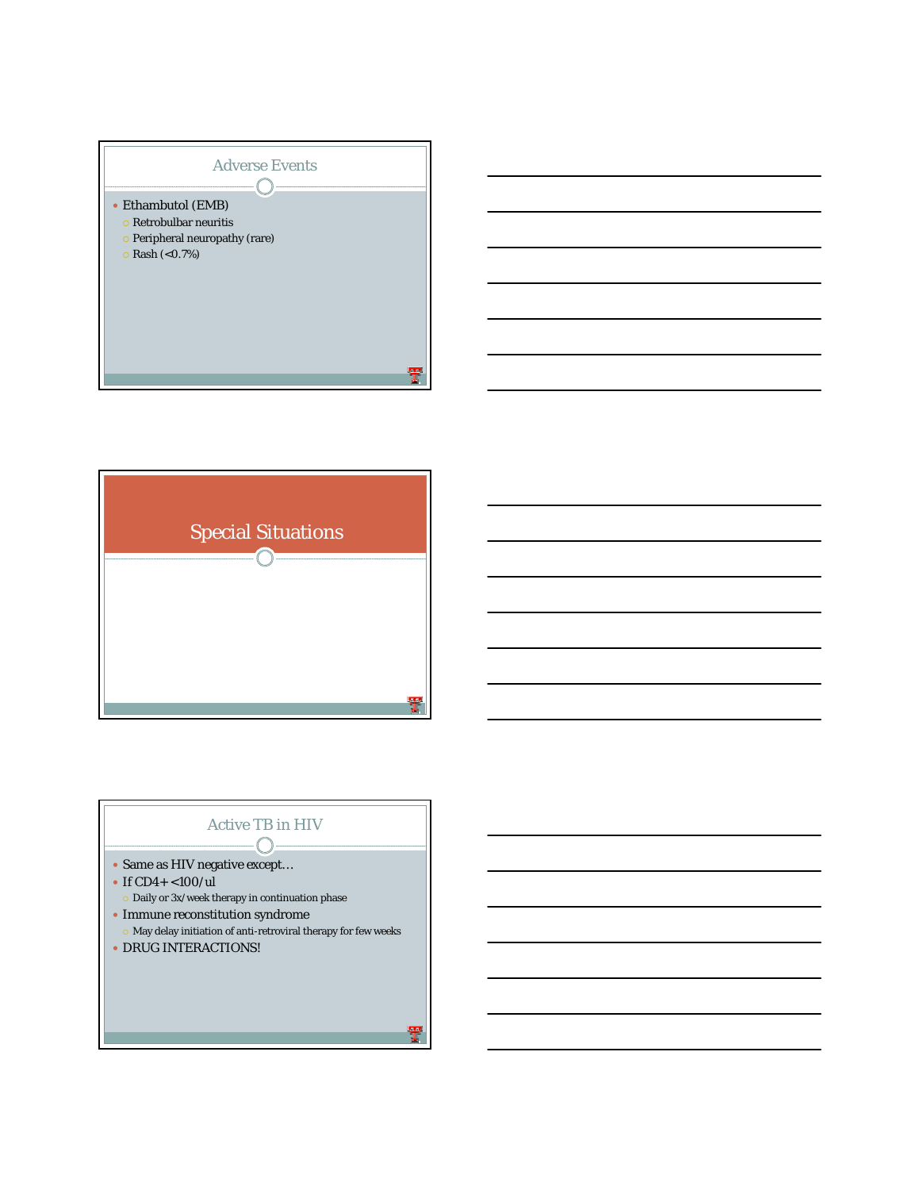



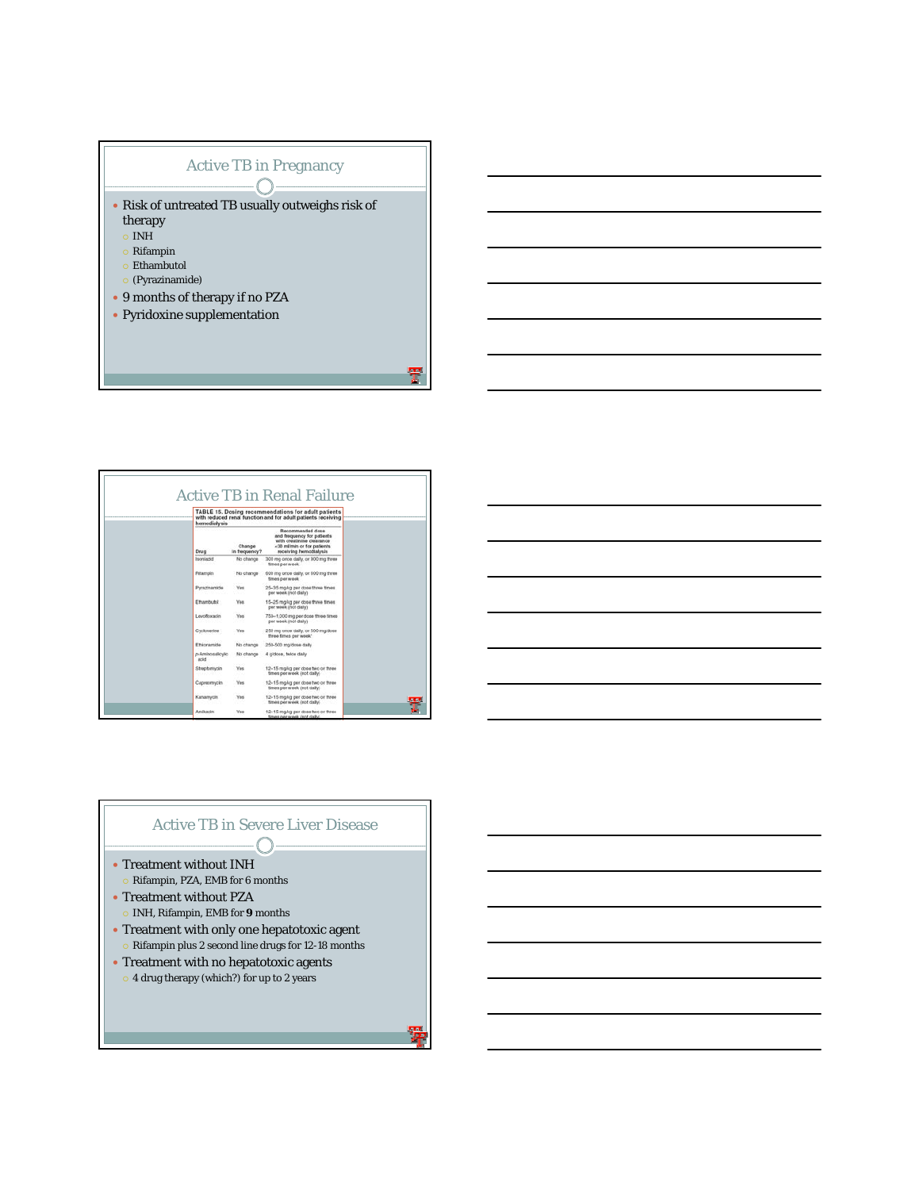

| hemodialysis             |                         | TABLE 15. Dosing recommendations for adult patients<br>with reduced renal function and for adult patients receiving                 |  |
|--------------------------|-------------------------|-------------------------------------------------------------------------------------------------------------------------------------|--|
| Drug                     | Change<br>in frequency? | Recommended dose<br>and frequency for patients<br>with creatinine clearance<br><30 milmin or for patients<br>receiving hemodialysis |  |
| Isoniazid                | No change               | 300 mg once daily, or 900 mg three<br>times per week                                                                                |  |
| <b>Pittampin</b>         | No change               | 600 mg once daily, or 600 mg three<br>times par week                                                                                |  |
| Pyrazinamide             | <b>Yes</b>              | 25-35 mg/kg per dose three times<br>per week inot daily)                                                                            |  |
| Ethambutot               | <b>Yes</b>              | 15-25 mg/kg per dosa three times.<br>per week (not daily)                                                                           |  |
| Levoñovacio              | <b>Yes</b>              | 750-1.000 mg per dose three times<br>per week inct daily)                                                                           |  |
| Cycloserine              | <b>Yes</b>              | 250 mg once daily, or 500 mg/dose<br>three times per week"                                                                          |  |
| Ethionamide              | No change               | 250-500 mg/dose daily                                                                                                               |  |
| p-Aminosalicylic<br>acid | No change               | 4 gidose, twice daily                                                                                                               |  |
| Streptomycin             | <b>Yes</b>              | 12-15 mg/kg per dose two or three<br>times per week inot daily).                                                                    |  |
| Caproomycin              | <b>Yes</b>              | 12-15 mg/kg per dose two or three<br>times per week (not daily).                                                                    |  |
| Kanamycin                | <b>Yes</b>              | 12-15 mgkg per dose two or three<br>times per week (not daily).                                                                     |  |
| Amikacin                 | <b>Yes</b>              | 12-15 mgkg per dose two or three<br>times per week (not daily)                                                                      |  |

## Active TB in Severe Liver Disease  $\bigcap$

- $\bullet$  Treatment without INH
- **Rifampin, PZA, EMB for 6 months**
- Treatment without PZA { INH, Rifampin, EMB for **9** months
- $\bullet$  Treatment with only one hepatotoxic agent
- { Rifampin plus 2 second line drugs for 12-18 months
- Treatment with no hepatotoxic agents
	- { 4 drug therapy (which?) for up to 2 years